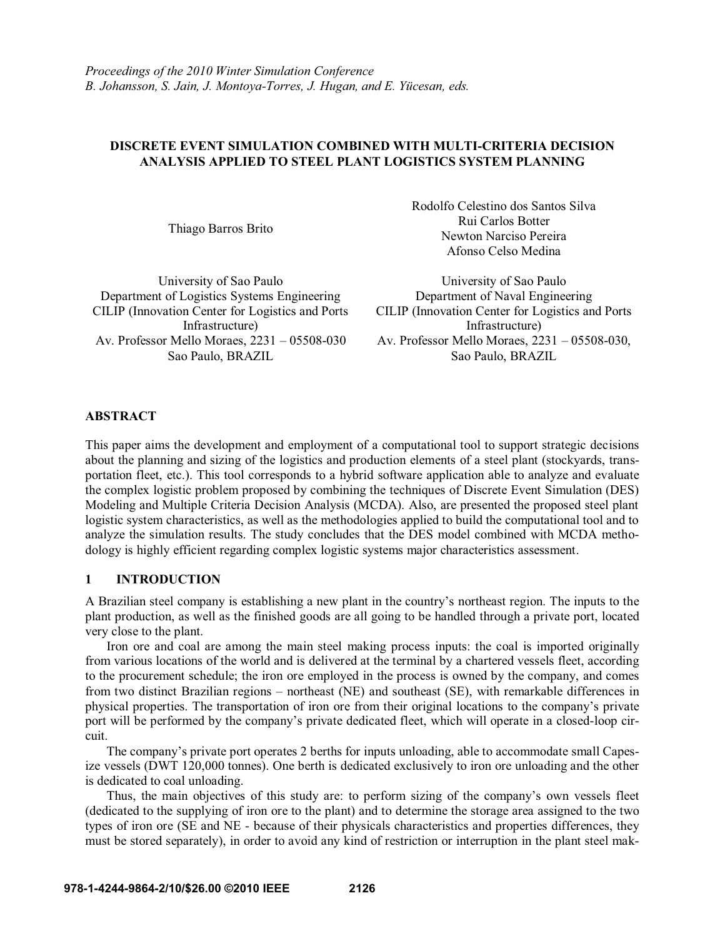# **DISCRETE EVENT SIMULATION COMBINED WITH MULTI-CRITERIA DECISION ANALYSIS APPLIED TO STEEL PLANT LOGISTICS SYSTEM PLANNING**

Thiago Barros Brito

University of Sao Paulo Department of Logistics Systems Engineering CILIP (Innovation Center for Logistics and Ports Infrastructure) Av. Professor Mello Moraes, 2231 - 05508-030 Sao Paulo, BRAZIL Sao Paulo, BRAZIL

Rodolfo Celestino dos Santos Silva Rui Carlos Botter Newton Narciso Pereira Afonso Celso Medina

University of Sao Paulo Department of Naval Engineering CILIP (Innovation Center for Logistics and Ports Infrastructure) 05508-030 Av. Professor Mello Moraes, 2231 - 05508-030,

## **ABSTRACT**

This paper aims the development and employment of a computational tool to support strategic decisions about the planning and sizing of the logistics and production elements of a steel plant (stockyards, transportation fleet, etc.). This tool corresponds to a hybrid software application able to analyze and evaluate the complex logistic problem proposed by combining the techniques of Discrete Event Simulation (DES) Modeling and Multiple Criteria Decision Analysis (MCDA). Also, are presented the proposed steel plant logistic system characteristics, as well as the methodologies applied to build the computational tool and to analyze the simulation results. The study concludes that the DES model combined with MCDA methodology is highly efficient regarding complex logistic systems major characteristics assessment.

# **1 INTRODUCTION**

A Brazilian steel company is establishing a new plant in the country's northeast region. The inputs to the plant production, as well as the finished goods are all going to be handled through a private port, located very close to the plant.

 Iron ore and coal are among the main steel making process inputs: the coal is imported originally from various locations of the world and is delivered at the terminal by a chartered vessels fleet, according to the procurement schedule; the iron ore employed in the process is owned by the company, and comes from two distinct Brazilian regions – northeast (NE) and southeast (SE), with remarkable differences in physical properties. The transportation of iron ore from their original locations to the compa  port will be performed by the company's private dedicated fleet, which will operate in a closed-loop circuit.

The company's private port operates 2 berths for inputs unloading, able to accommodate small Capesize vessels (DWT 120,000 tonnes). One berth is dedicated exclusively to iron ore unloading and the other is dedicated to coal unloading.

Thus, the main objectives of this study are: to perform sizing of the company's own vessels fleet (dedicated to the supplying of iron ore to the plant) and to determine the storage area assigned to the two types of iron ore (SE and NE - because of their physicals characteristics and properties differences, they must be stored separately), in order to avoid any kind of restriction or interruption in the plant steel mak-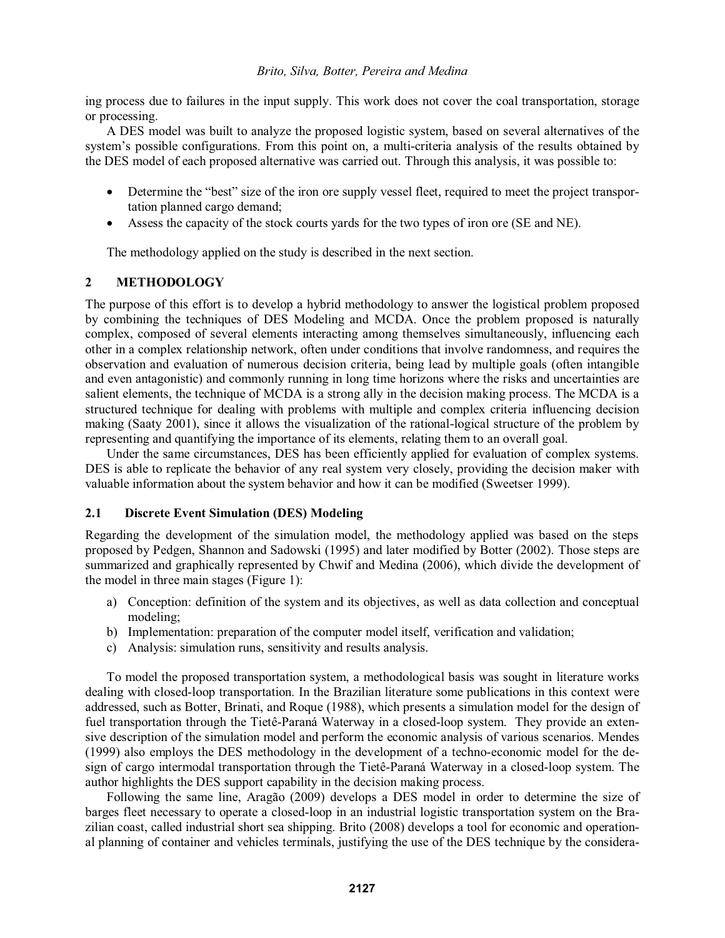ing process due to failures in the input supply. This work does not cover the coal transportation, storage or processing.

 A DES model was built to analyze the proposed logistic system, based on several alternatives of the system's possible configurations. From this point on, a multi-criteria analysis of the results obtained by the DES model of each proposed alternative was carried out. Through this analysis, it was possible to:

- Determine the "best" size of the iron ore supply vessel fleet, required to meet the project transportation planned cargo demand;
- Assess the capacity of the stock courts yards for the two types of iron ore (SE and NE).

The methodology applied on the study is described in the next section.

# **2 METHODOLOGY**

The purpose of this effort is to develop a hybrid methodology to answer the logistical problem proposed by combining the techniques of DES Modeling and MCDA. Once the problem proposed is naturally complex, composed of several elements interacting among themselves simultaneously, influencing each other in a complex relationship network, often under conditions that involve randomness, and requires the observation and evaluation of numerous decision criteria, being lead by multiple goals (often intangible and even antagonistic) and commonly running in long time horizons where the risks and uncertainties are salient elements, the technique of MCDA is a strong ally in the decision making process. The MCDA is a structured technique for dealing with problems with multiple and complex criteria influencing decision making (Saaty 2001), since it allows the visualization of the rational-logical structure of the problem by representing and quantifying the importance of its elements, relating them to an overall goal.

 Under the same circumstances, DES has been efficiently applied for evaluation of complex systems. DES is able to replicate the behavior of any real system very closely, providing the decision maker with valuable information about the system behavior and how it can be modified (Sweetser 1999).

# **2.1 Discrete Event Simulation (DES) Modeling**

Regarding the development of the simulation model, the methodology applied was based on the steps proposed by Pedgen, Shannon and Sadowski (1995) and later modified by Botter (2002). Those steps are summarized and graphically represented by Chwif and Medina (2006), which divide the development of the model in three main stages (Figure 1):

- a) Conception: definition of the system and its objectives, as well as data collection and conceptual modeling;
- b) Implementation: preparation of the computer model itself, verification and validation;
- c) Analysis: simulation runs, sensitivity and results analysis.

 To model the proposed transportation system, a methodological basis was sought in literature works dealing with closed-loop transportation. In the Brazilian literature some publications in this context were addressed, such as Botter, Brinati, and Roque (1988), which presents a simulation model for the design of fuel transportation through the Tietê-Paraná Waterway in a closed-loop system. They provide an extensive description of the simulation model and perform the economic analysis of various scenarios. Mendes (1999) also employs the DES methodology in the development of a techno-economic model for the design of cargo intermodal transportation through the Tietê-Paraná Waterway in a closed-loop system. The author highlights the DES support capability in the decision making process.

Following the same line, Aragão (2009) develops a DES model in order to determine the size of barges fleet necessary to operate a closed-loop in an industrial logistic transportation system on the Brazilian coast, called industrial short sea shipping. Brito (2008) develops a tool for economic and operational planning of container and vehicles terminals, justifying the use of the DES technique by the considera-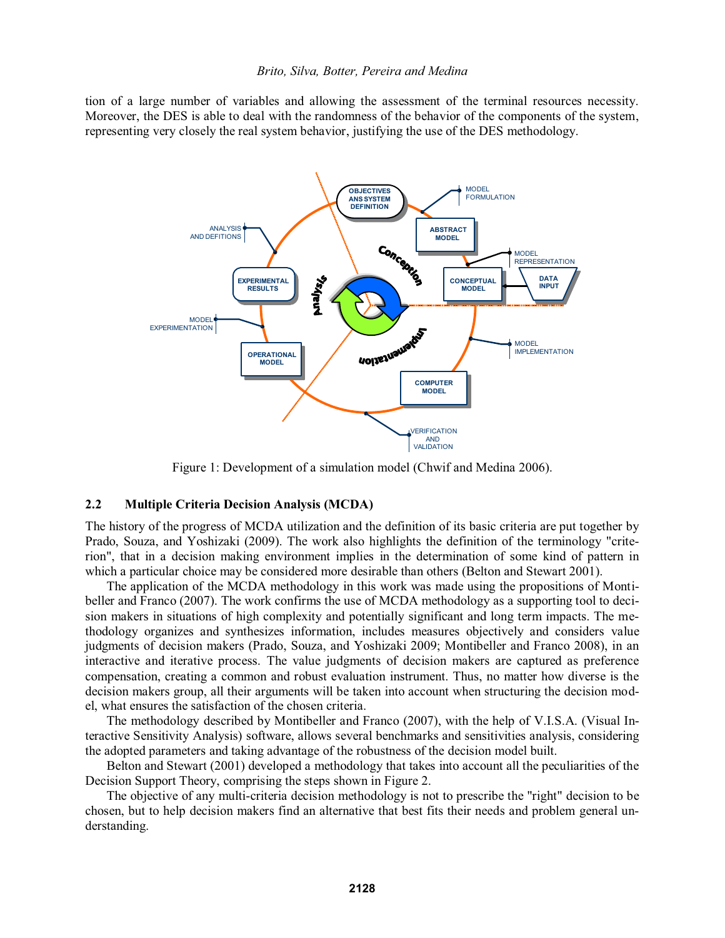tion of a large number of variables and allowing the assessment of the terminal resources necessity. Moreover, the DES is able to deal with the randomness of the behavior of the components of the system, representing very closely the real system behavior, justifying the use of the DES methodology.



Figure 1: Development of a simulation model (Chwif and Medina 2006).

## **2.2 Multiple Criteria Decision Analysis (MCDA)**

The history of the progress of MCDA utilization and the definition of its basic criteria are put together by Prado, Souza, and Yoshizaki (2009). The work also highlights the definition of the terminology "criterion", that in a decision making environment implies in the determination of some kind of pattern in which a particular choice may be considered more desirable than others (Belton and Stewart 2001).

 The application of the MCDA methodology in this work was made using the propositions of Montibeller and Franco (2007). The work confirms the use of MCDA methodology as a supporting tool to decision makers in situations of high complexity and potentially significant and long term impacts. The methodology organizes and synthesizes information, includes measures objectively and considers value judgments of decision makers (Prado, Souza, and Yoshizaki 2009; Montibeller and Franco 2008), in an interactive and iterative process. The value judgments of decision makers are captured as preference compensation, creating a common and robust evaluation instrument. Thus, no matter how diverse is the decision makers group, all their arguments will be taken into account when structuring the decision model, what ensures the satisfaction of the chosen criteria.

 The methodology described by Montibeller and Franco (2007), with the help of V.I.S.A. (Visual Interactive Sensitivity Analysis) software, allows several benchmarks and sensitivities analysis, considering the adopted parameters and taking advantage of the robustness of the decision model built.

 Belton and Stewart (2001) developed a methodology that takes into account all the peculiarities of the Decision Support Theory, comprising the steps shown in Figure 2.

 The objective of any multi-criteria decision methodology is not to prescribe the "right" decision to be chosen, but to help decision makers find an alternative that best fits their needs and problem general understanding.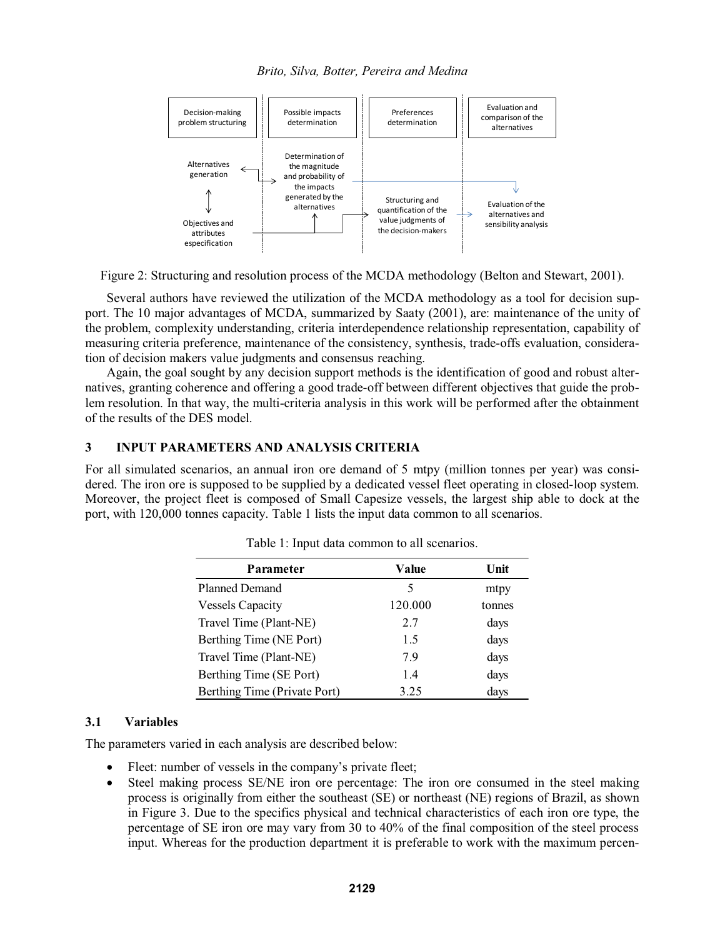

Figure 2: Structuring and resolution process of the MCDA methodology (Belton and Stewart, 2001).

 Several authors have reviewed the utilization of the MCDA methodology as a tool for decision support. The 10 major advantages of MCDA, summarized by Saaty (2001), are: maintenance of the unity of the problem, complexity understanding, criteria interdependence relationship representation, capability of measuring criteria preference, maintenance of the consistency, synthesis, trade-offs evaluation, consideration of decision makers value judgments and consensus reaching.

 Again, the goal sought by any decision support methods is the identification of good and robust alternatives, granting coherence and offering a good trade-off between different objectives that guide the problem resolution. In that way, the multi-criteria analysis in this work will be performed after the obtainment of the results of the DES model.

# **3 INPUT PARAMETERS AND ANALYSIS CRITERIA**

For all simulated scenarios, an annual iron ore demand of 5 mtpy (million tonnes per year) was considered. The iron ore is supposed to be supplied by a dedicated vessel fleet operating in closed-loop system. Moreover, the project fleet is composed of Small Capesize vessels, the largest ship able to dock at the port, with 120,000 tonnes capacity. Table 1 lists the input data common to all scenarios.

| Parameter                    | Value   | Unit   |
|------------------------------|---------|--------|
| Planned Demand               | 5       | mtpy   |
| <b>Vessels Capacity</b>      | 120.000 | tonnes |
| Travel Time (Plant-NE)       | 2.7     | days   |
| Berthing Time (NE Port)      | 1.5     | days   |
| Travel Time (Plant-NE)       | 7.9     | days   |
| Berthing Time (SE Port)      | 1.4     | days   |
| Berthing Time (Private Port) | 3.25    | days   |

Table 1: Input data common to all scenarios.

# **3.1 Variables**

The parameters varied in each analysis are described below:

- -Fleet: number of vessels in the company
s private fleet;
- - Steel making process SE/NE iron ore percentage: The iron ore consumed in the steel making process is originally from either the southeast (SE) or northeast (NE) regions of Brazil, as shown in Figure 3. Due to the specifics physical and technical characteristics of each iron ore type, the percentage of SE iron ore may vary from 30 to 40% of the final composition of the steel process input. Whereas for the production department it is preferable to work with the maximum percen-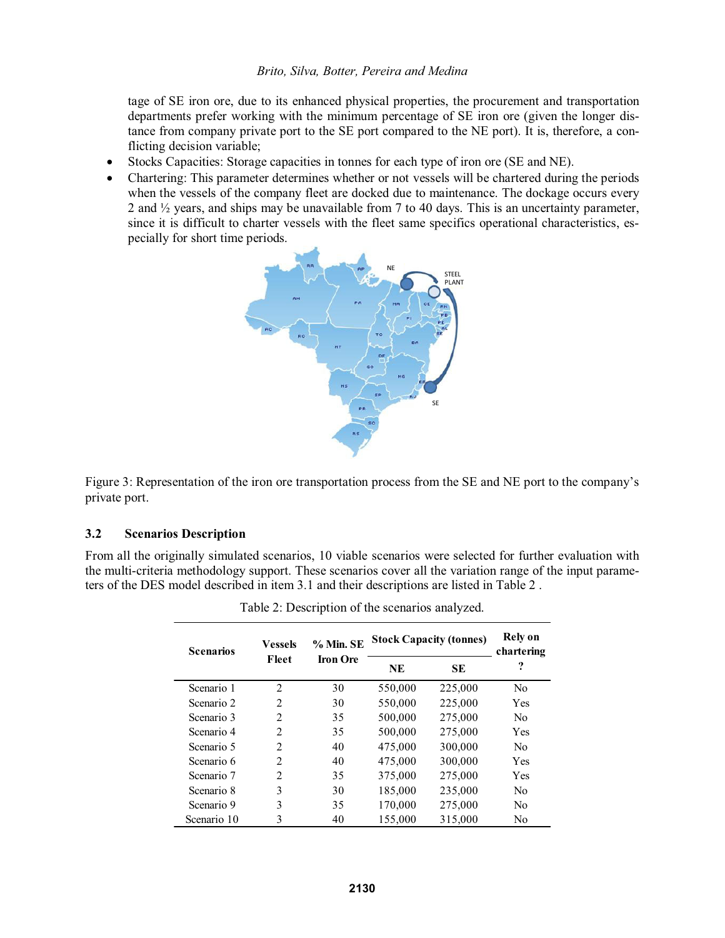tage of SE iron ore, due to its enhanced physical properties, the procurement and transportation departments prefer working with the minimum percentage of SE iron ore (given the longer distance from company private port to the SE port compared to the NE port). It is, therefore, a conflicting decision variable;

- $\bullet$ Stocks Capacities: Storage capacities in tonnes for each type of iron ore (SE and NE).
- $\bullet$  Chartering: This parameter determines whether or not vessels will be chartered during the periods when the vessels of the company fleet are docked due to maintenance. The dockage occurs every 2 and ½ years, and ships may be unavailable from 7 to 40 days. This is an uncertainty parameter, since it is difficult to charter vessels with the fleet same specifics operational characteristics, especially for short time periods.



Figure 3: Representation of the iron ore transportation process from the SE and NE port to the company's private port.

# **3.2 Scenarios Description**

From all the originally simulated scenarios, 10 viable scenarios were selected for further evaluation with the multi-criteria methodology support. These scenarios cover all the variation range of the input parameters of the DES model described in item 3.1 and their descriptions are listed in Table 2 .

| <b>Scenarios</b> | <b>Vessels</b> | % Min. SE       | <b>Stock Capacity (tonnes)</b> | <b>Rely on</b><br>chartering |                |
|------------------|----------------|-----------------|--------------------------------|------------------------------|----------------|
|                  | Fleet          | <b>Iron Ore</b> | NE                             | SE.                          | ?              |
| Scenario 1       | $\mathfrak{D}$ | 30              | 550,000                        | 225,000                      | N <sub>0</sub> |
| Scenario 2       | 2              | 30              | 550,000                        | 225,000                      | <b>Yes</b>     |
| Scenario 3       | 2              | 35              | 500,000                        | 275,000                      | N <sub>0</sub> |
| Scenario 4       | $\overline{2}$ | 35              | 500,000                        | 275,000                      | <b>Yes</b>     |
| Scenario 5       | $\overline{c}$ | 40              | 475,000                        | 300,000                      | N <sub>0</sub> |
| Scenario 6       | $\mathfrak{D}$ | 40              | 475,000                        | 300,000                      | <b>Yes</b>     |
| Scenario 7       | 2              | 35              | 375,000                        | 275,000                      | <b>Yes</b>     |
| Scenario 8       | 3              | 30              | 185,000                        | 235,000                      | N <sub>0</sub> |
| Scenario 9       | 3              | 35              | 170,000                        | 275,000                      | N <sub>0</sub> |
| Scenario 10      | 3              | 40              | 155,000                        | 315,000                      | No             |

Table 2: Description of the scenarios analyzed.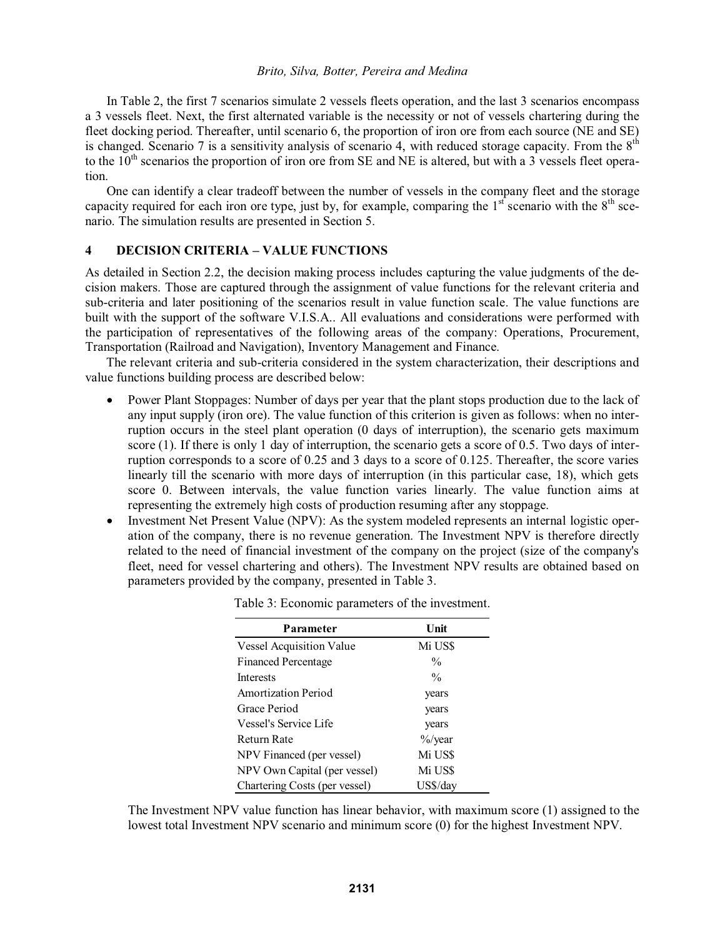In Table 2, the first 7 scenarios simulate 2 vessels fleets operation, and the last 3 scenarios encompass a 3 vessels fleet. Next, the first alternated variable is the necessity or not of vessels chartering during the fleet docking period. Thereafter, until scenario 6, the proportion of iron ore from each source (NE and SE) is changed. Scenario 7 is a sensitivity analysis of scenario 4, with reduced storage capacity. From the  $8<sup>th</sup>$ to the  $10<sup>th</sup>$  scenarios the proportion of iron ore from SE and NE is altered, but with a 3 vessels fleet operation.

 One can identify a clear tradeoff between the number of vessels in the company fleet and the storage capacity required for each iron ore type, just by, for example, comparing the  $1<sup>st</sup>$  scenario with the  $8<sup>th</sup>$  scenario. The simulation results are presented in Section 5.

# **4 DECISION CRITERIA - VALUE FUNCTIONS**

As detailed in Section 2.2, the decision making process includes capturing the value judgments of the decision makers. Those are captured through the assignment of value functions for the relevant criteria and sub-criteria and later positioning of the scenarios result in value function scale. The value functions are built with the support of the software V.I.S.A.. All evaluations and considerations were performed with the participation of representatives of the following areas of the company: Operations, Procurement, Transportation (Railroad and Navigation), Inventory Management and Finance.

The relevant criteria and sub-criteria considered in the system characterization, their descriptions and value functions building process are described below:

- - Power Plant Stoppages: Number of days per year that the plant stops production due to the lack of any input supply (iron ore). The value function of this criterion is given as follows: when no interruption occurs in the steel plant operation (0 days of interruption), the scenario gets maximum score (1). If there is only 1 day of interruption, the scenario gets a score of 0.5. Two days of interruption corresponds to a score of 0.25 and 3 days to a score of 0.125. Thereafter, the score varies linearly till the scenario with more days of interruption (in this particular case, 18), which gets score 0. Between intervals, the value function varies linearly. The value function aims at representing the extremely high costs of production resuming after any stoppage.
- $\bullet$  Investment Net Present Value (NPV): As the system modeled represents an internal logistic operation of the company, there is no revenue generation. The Investment NPV is therefore directly related to the need of financial investment of the company on the project (size of the company's fleet, need for vessel chartering and others). The Investment NPV results are obtained based on parameters provided by the company, presented in Table 3.

| Parameter                       | Unit                |
|---------------------------------|---------------------|
| <b>Vessel Acquisition Value</b> | Mi US\$             |
| <b>Financed Percentage</b>      | $\frac{0}{0}$       |
| Interests                       | $\frac{0}{0}$       |
| <b>Amortization Period</b>      | years               |
| Grace Period                    | years               |
| Vessel's Service Life           | years               |
| <b>Return Rate</b>              | $\frac{9}{0}$ /year |
| NPV Financed (per vessel)       | Mi US\$             |
| NPV Own Capital (per vessel)    | Mi US\$             |
| Chartering Costs (per vessel)   | US\$/day            |

Table 3: Economic parameters of the investment.

The Investment NPV value function has linear behavior, with maximum score (1) assigned to the lowest total Investment NPV scenario and minimum score (0) for the highest Investment NPV.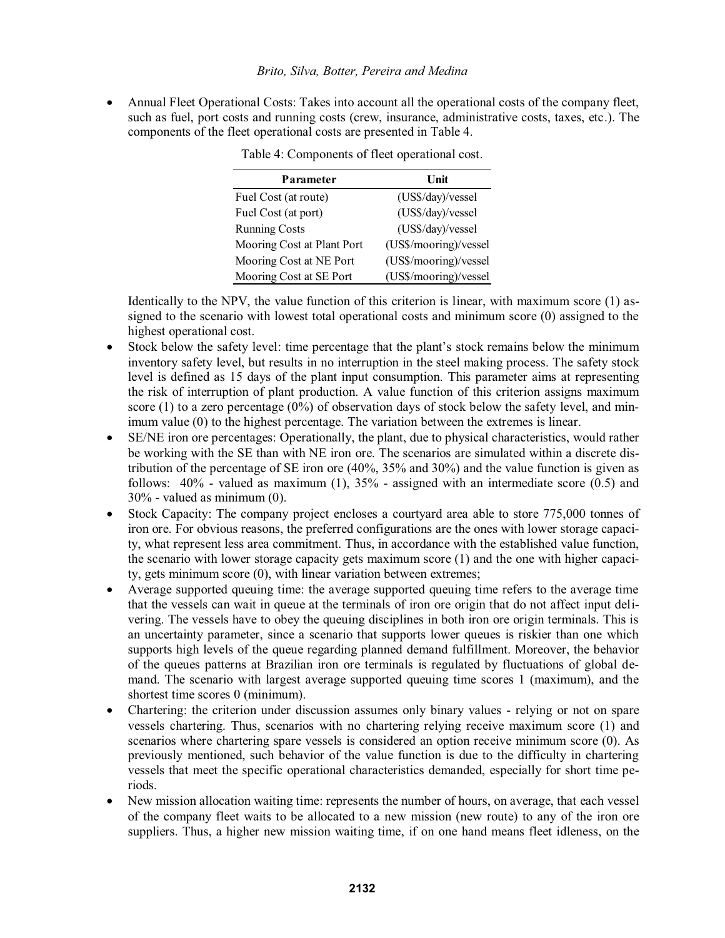- Annual Fleet Operational Costs: Takes into account all the operational costs of the company fleet, such as fuel, port costs and running costs (crew, insurance, administrative costs, taxes, etc.). The components of the fleet operational costs are presented in Table 4.

| Parameter                  | Unit                  |
|----------------------------|-----------------------|
| Fuel Cost (at route)       | (US\$/day)/vessel     |
| Fuel Cost (at port)        | (US\$/day)/vessel     |
| <b>Running Costs</b>       | (US\$/day)/vessel     |
| Mooring Cost at Plant Port | (US\$/mooring)/vessel |
| Mooring Cost at NE Port    | (US\$/mooring)/vessel |
| Mooring Cost at SE Port    | (US\$/mooring)/vessel |

Table 4: Components of fleet operational cost.

Identically to the NPV, the value function of this criterion is linear, with maximum score (1) assigned to the scenario with lowest total operational costs and minimum score (0) assigned to the highest operational cost.

- -• Stock below the safety level: time percentage that the plant's stock remains below the minimum inventory safety level, but results in no interruption in the steel making process. The safety stock level is defined as 15 days of the plant input consumption. This parameter aims at representing the risk of interruption of plant production. A value function of this criterion assigns maximum score  $(1)$  to a zero percentage  $(0\%)$  of observation days of stock below the safety level, and minimum value (0) to the highest percentage. The variation between the extremes is linear.
- $\bullet$  SE/NE iron ore percentages: Operationally, the plant, due to physical characteristics, would rather be working with the SE than with NE iron ore. The scenarios are simulated within a discrete distribution of the percentage of SE iron ore (40%, 35% and 30%) and the value function is given as follows:  $40\%$  - valued as maximum (1),  $35\%$  - assigned with an intermediate score (0.5) and 30% - valued as minimum (0).
- - Stock Capacity: The company project encloses a courtyard area able to store 775,000 tonnes of iron ore. For obvious reasons, the preferred configurations are the ones with lower storage capacity, what represent less area commitment. Thus, in accordance with the established value function, the scenario with lower storage capacity gets maximum score (1) and the one with higher capacity, gets minimum score (0), with linear variation between extremes;
- - Average supported queuing time: the average supported queuing time refers to the average time that the vessels can wait in queue at the terminals of iron ore origin that do not affect input delivering. The vessels have to obey the queuing disciplines in both iron ore origin terminals. This is an uncertainty parameter, since a scenario that supports lower queues is riskier than one which supports high levels of the queue regarding planned demand fulfillment. Moreover, the behavior of the queues patterns at Brazilian iron ore terminals is regulated by fluctuations of global demand. The scenario with largest average supported queuing time scores 1 (maximum), and the shortest time scores 0 (minimum).
- - Chartering: the criterion under discussion assumes only binary values - relying or not on spare vessels chartering. Thus, scenarios with no chartering relying receive maximum score (1) and scenarios where chartering spare vessels is considered an option receive minimum score (0). As previously mentioned, such behavior of the value function is due to the difficulty in chartering vessels that meet the specific operational characteristics demanded, especially for short time periods.
- - New mission allocation waiting time: represents the number of hours, on average, that each vessel of the company fleet waits to be allocated to a new mission (new route) to any of the iron ore suppliers. Thus, a higher new mission waiting time, if on one hand means fleet idleness, on the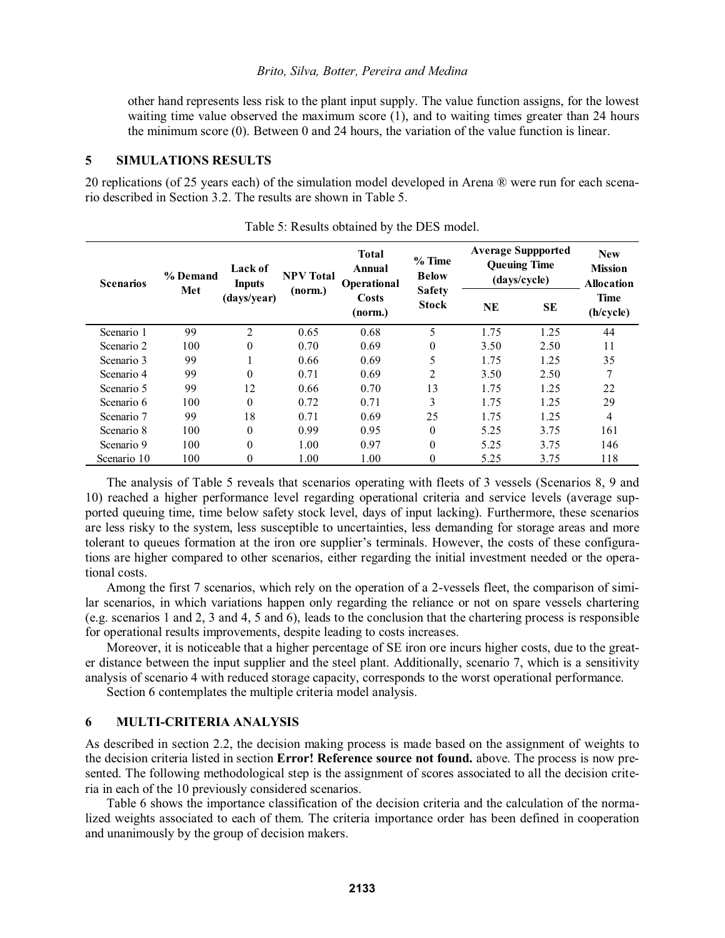other hand represents less risk to the plant input supply. The value function assigns, for the lowest waiting time value observed the maximum score (1), and to waiting times greater than 24 hours the minimum score (0). Between 0 and 24 hours, the variation of the value function is linear.

#### **5 SIMULATIONS RESULTS**

20 replications (of 25 years each) of the simulation model developed in Arena ® were run for each scenario described in Section 3.2. The results are shown in Table 5.

| <b>Scenarios</b> | % Demand | Lack of<br>Inputs | <b>NPV</b> Total | <b>Total</b><br>Annual<br>Operational | $%$ Time<br><b>Below</b><br><b>Safety</b><br><b>Stock</b> | <b>Average Suppported</b><br><b>Queuing Time</b><br>(days/cycle) |      | <b>New</b><br><b>Mission</b><br><b>Allocation</b> |
|------------------|----------|-------------------|------------------|---------------------------------------|-----------------------------------------------------------|------------------------------------------------------------------|------|---------------------------------------------------|
|                  | Met      | (days/year)       | (norm.)          | Costs<br>(norm.)                      |                                                           | NE                                                               | SE   | <b>Time</b><br>(h/cycle)                          |
| Scenario 1       | 99       | 2                 | 0.65             | 0.68                                  | 5                                                         | 1.75                                                             | 1.25 | 44                                                |
| Scenario 2       | 100      | $\boldsymbol{0}$  | 0.70             | 0.69                                  | $\theta$                                                  | 3.50                                                             | 2.50 | 11                                                |
| Scenario 3       | 99       |                   | 0.66             | 0.69                                  | 5                                                         | 1.75                                                             | 1.25 | 35                                                |
| Scenario 4       | 99       | $\boldsymbol{0}$  | 0.71             | 0.69                                  | 2                                                         | 3.50                                                             | 2.50 | 7                                                 |
| Scenario 5       | 99       | 12                | 0.66             | 0.70                                  | 13                                                        | 1.75                                                             | 1.25 | 22                                                |
| Scenario 6       | 100      | $\boldsymbol{0}$  | 0.72             | 0.71                                  | 3                                                         | 1.75                                                             | 1.25 | 29                                                |
| Scenario 7       | 99       | 18                | 0.71             | 0.69                                  | 25                                                        | 1.75                                                             | 1.25 | 4                                                 |
| Scenario 8       | 100      | $\boldsymbol{0}$  | 0.99             | 0.95                                  | $\theta$                                                  | 5.25                                                             | 3.75 | 161                                               |
| Scenario 9       | 100      | $\boldsymbol{0}$  | 1.00             | 0.97                                  | $\theta$                                                  | 5.25                                                             | 3.75 | 146                                               |
| Scenario 10      | 100      | 0                 | 1.00             | 1.00                                  | $\mathbf{0}$                                              | 5.25                                                             | 3.75 | 118                                               |

Table 5: Results obtained by the DES model.

 The analysis of Table 5 reveals that scenarios operating with fleets of 3 vessels (Scenarios 8, 9 and 10) reached a higher performance level regarding operational criteria and service levels (average supported queuing time, time below safety stock level, days of input lacking). Furthermore, these scenarios are less risky to the system, less susceptible to uncertainties, less demanding for storage areas and more tolerant to queues formation at the iron ore supplier's terminals. However, the costs of these configurations are higher compared to other scenarios, either regarding the initial investment needed or the operational costs.

 Among the first 7 scenarios, which rely on the operation of a 2-vessels fleet, the comparison of similar scenarios, in which variations happen only regarding the reliance or not on spare vessels chartering (e.g. scenarios 1 and 2, 3 and 4, 5 and 6), leads to the conclusion that the chartering process is responsible for operational results improvements, despite leading to costs increases.

 Moreover, it is noticeable that a higher percentage of SE iron ore incurs higher costs, due to the greater distance between the input supplier and the steel plant. Additionally, scenario 7, which is a sensitivity analysis of scenario 4 with reduced storage capacity, corresponds to the worst operational performance.

Section 6 contemplates the multiple criteria model analysis.

### **6 MULTI-CRITERIA ANALYSIS**

As described in section 2.2, the decision making process is made based on the assignment of weights to the decision criteria listed in section **Error! Reference source not found.** above. The process is now presented. The following methodological step is the assignment of scores associated to all the decision criteria in each of the 10 previously considered scenarios.

 Table 6 shows the importance classification of the decision criteria and the calculation of the normalized weights associated to each of them. The criteria importance order has been defined in cooperation and unanimously by the group of decision makers.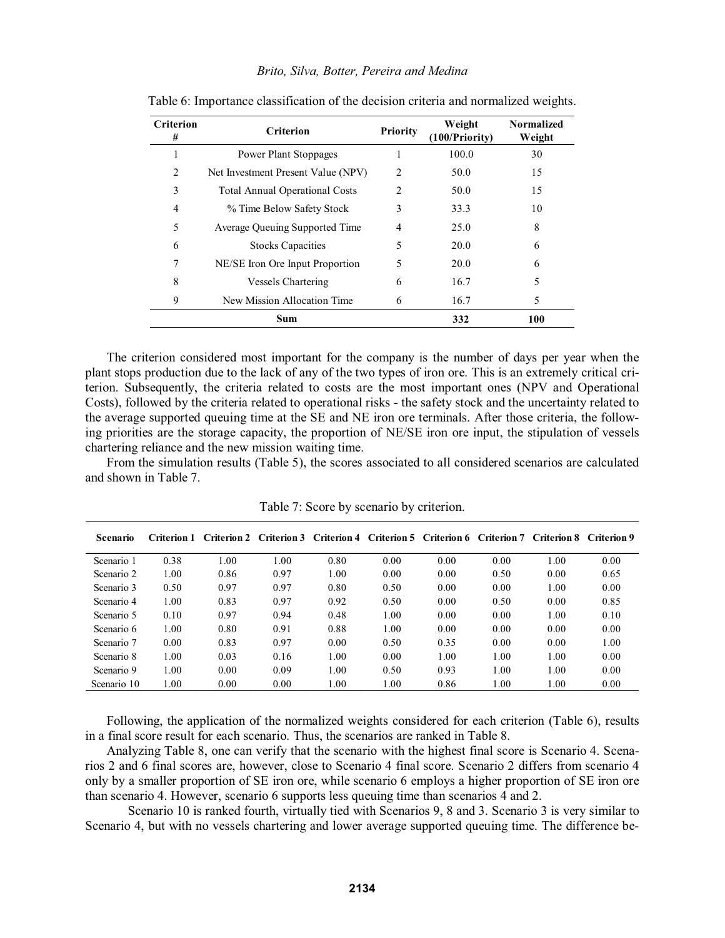| <b>Criterion</b><br># | Criterion                             | <b>Priority</b> | Weight<br>(100/Priority) | <b>Normalized</b><br>Weight |
|-----------------------|---------------------------------------|-----------------|--------------------------|-----------------------------|
|                       | Power Plant Stoppages                 |                 | 100.0                    | 30                          |
| 2                     | Net Investment Present Value (NPV)    | 2               | 50.0                     | 15                          |
| 3                     | <b>Total Annual Operational Costs</b> | $\mathfrak{D}$  | 50.0                     | 15                          |
| 4                     | % Time Below Safety Stock             | 3               | 33.3                     | 10                          |
| 5                     | Average Queuing Supported Time        | 4               | 25.0                     | 8                           |
| 6                     | <b>Stocks Capacities</b>              | 5               | 20.0                     | 6                           |
| 7                     | NE/SE Iron Ore Input Proportion       | 5               | 20.0                     | 6                           |
| 8                     | <b>Vessels Chartering</b>             | 6               | 16.7                     | 5                           |
| 9                     | New Mission Allocation Time           | 6               | 16.7                     | 5                           |
|                       | Sum                                   |                 | 332                      | 100                         |

Table 6: Importance classification of the decision criteria and normalized weights.

 The criterion considered most important for the company is the number of days per year when the plant stops production due to the lack of any of the two types of iron ore. This is an extremely critical criterion. Subsequently, the criteria related to costs are the most important ones (NPV and Operational Costs), followed by the criteria related to operational risks - the safety stock and the uncertainty related to the average supported queuing time at the SE and NE iron ore terminals. After those criteria, the following priorities are the storage capacity, the proportion of NE/SE iron ore input, the stipulation of vessels chartering reliance and the new mission waiting time.

 From the simulation results (Table 5), the scores associated to all considered scenarios are calculated and shown in Table 7.

| <b>Scenario</b> | Criterion 1 |      |      |      | Criterion 2 Criterion 3 Criterion 4 Criterion 5 Criterion 6 Criterion 7 Criterion 8 Criterion 9 |      |      |      |      |
|-----------------|-------------|------|------|------|-------------------------------------------------------------------------------------------------|------|------|------|------|
| Scenario 1      | 0.38        | 1.00 | 1.00 | 0.80 | 0.00                                                                                            | 0.00 | 0.00 | 1.00 | 0.00 |
| Scenario 2      | 1.00        | 0.86 | 0.97 | 1.00 | 0.00                                                                                            | 0.00 | 0.50 | 0.00 | 0.65 |
| Scenario 3      | 0.50        | 0.97 | 0.97 | 0.80 | 0.50                                                                                            | 0.00 | 0.00 | 1.00 | 0.00 |
| Scenario 4      | 1.00        | 0.83 | 0.97 | 0.92 | 0.50                                                                                            | 0.00 | 0.50 | 0.00 | 0.85 |
| Scenario 5      | 0.10        | 0.97 | 0.94 | 0.48 | 1.00                                                                                            | 0.00 | 0.00 | 1.00 | 0.10 |
| Scenario 6      | 1.00        | 0.80 | 0.91 | 0.88 | 1.00                                                                                            | 0.00 | 0.00 | 0.00 | 0.00 |
| Scenario 7      | 0.00        | 0.83 | 0.97 | 0.00 | 0.50                                                                                            | 0.35 | 0.00 | 0.00 | 1.00 |
| Scenario 8      | 1.00        | 0.03 | 0.16 | 1.00 | 0.00                                                                                            | 1.00 | 1.00 | 1.00 | 0.00 |
| Scenario 9      | 1.00        | 0.00 | 0.09 | 1.00 | 0.50                                                                                            | 0.93 | 1.00 | 1.00 | 0.00 |
| Scenario 10     | 1.00        | 0.00 | 0.00 | 1.00 | 00.1                                                                                            | 0.86 | 1.00 | 1.00 | 0.00 |

Table 7: Score by scenario by criterion.

 Following, the application of the normalized weights considered for each criterion (Table 6), results in a final score result for each scenario. Thus, the scenarios are ranked in Table 8.

 Analyzing Table 8, one can verify that the scenario with the highest final score is Scenario 4. Scenarios 2 and 6 final scores are, however, close to Scenario 4 final score. Scenario 2 differs from scenario 4 only by a smaller proportion of SE iron ore, while scenario 6 employs a higher proportion of SE iron ore than scenario 4. However, scenario 6 supports less queuing time than scenarios 4 and 2.

 Scenario 10 is ranked fourth, virtually tied with Scenarios 9, 8 and 3. Scenario 3 is very similar to Scenario 4, but with no vessels chartering and lower average supported queuing time. The difference be-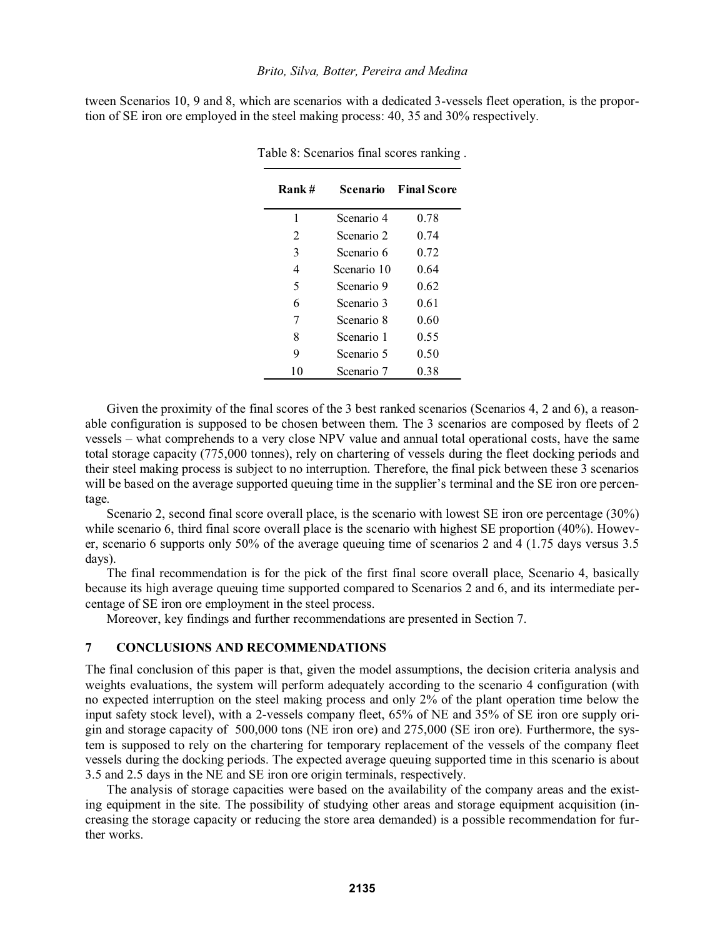tween Scenarios 10, 9 and 8, which are scenarios with a dedicated 3-vessels fleet operation, is the proportion of SE iron ore employed in the steel making process: 40, 35 and 30% respectively.

| Rank# |             | <b>Scenario</b> Final Score |
|-------|-------------|-----------------------------|
| 1     | Scenario 4  | 0.78                        |
| 2     | Scenario 2  | 0.74                        |
| 3     | Scenario 6  | 0.72                        |
| 4     | Scenario 10 | 0.64                        |
| 5     | Scenario 9  | 0.62                        |
| 6     | Scenario 3  | 0.61                        |
| 7     | Scenario 8  | 0.60                        |
| 8     | Scenario 1  | 0.55                        |
| 9     | Scenario 5  | 0.50                        |
| 10    | Scenario 7  | 0.38                        |

Table 8: Scenarios final scores ranking .

Given the proximity of the final scores of the 3 best ranked scenarios (Scenarios 4, 2 and 6), a reasonable configuration is supposed to be chosen between them. The 3 scenarios are composed by fleets of 2 vessels – what comprehends to a very close NPV value and annual total operational costs, have the same total storage capacity (775,000 tonnes), rely on chartering of vessels during the fleet docking periods and their steel making process is subject to no interruption. Therefore, the final pick between these 3 scenarios will be based on the average supported queuing time in the supplier's terminal and the SE iron ore percentage.

 Scenario 2, second final score overall place, is the scenario with lowest SE iron ore percentage (30%) while scenario 6, third final score overall place is the scenario with highest SE proportion (40%). However, scenario 6 supports only 50% of the average queuing time of scenarios 2 and 4 (1.75 days versus 3.5 days).

 The final recommendation is for the pick of the first final score overall place, Scenario 4, basically because its high average queuing time supported compared to Scenarios 2 and 6, and its intermediate percentage of SE iron ore employment in the steel process.

Moreover, key findings and further recommendations are presented in Section 7.

## **7 CONCLUSIONS AND RECOMMENDATIONS**

The final conclusion of this paper is that, given the model assumptions, the decision criteria analysis and weights evaluations, the system will perform adequately according to the scenario 4 configuration (with no expected interruption on the steel making process and only 2% of the plant operation time below the input safety stock level), with a 2-vessels company fleet, 65% of NE and 35% of SE iron ore supply origin and storage capacity of 500,000 tons (NE iron ore) and 275,000 (SE iron ore). Furthermore, the system is supposed to rely on the chartering for temporary replacement of the vessels of the company fleet vessels during the docking periods. The expected average queuing supported time in this scenario is about 3.5 and 2.5 days in the NE and SE iron ore origin terminals, respectively.

 The analysis of storage capacities were based on the availability of the company areas and the existing equipment in the site. The possibility of studying other areas and storage equipment acquisition (increasing the storage capacity or reducing the store area demanded) is a possible recommendation for further works.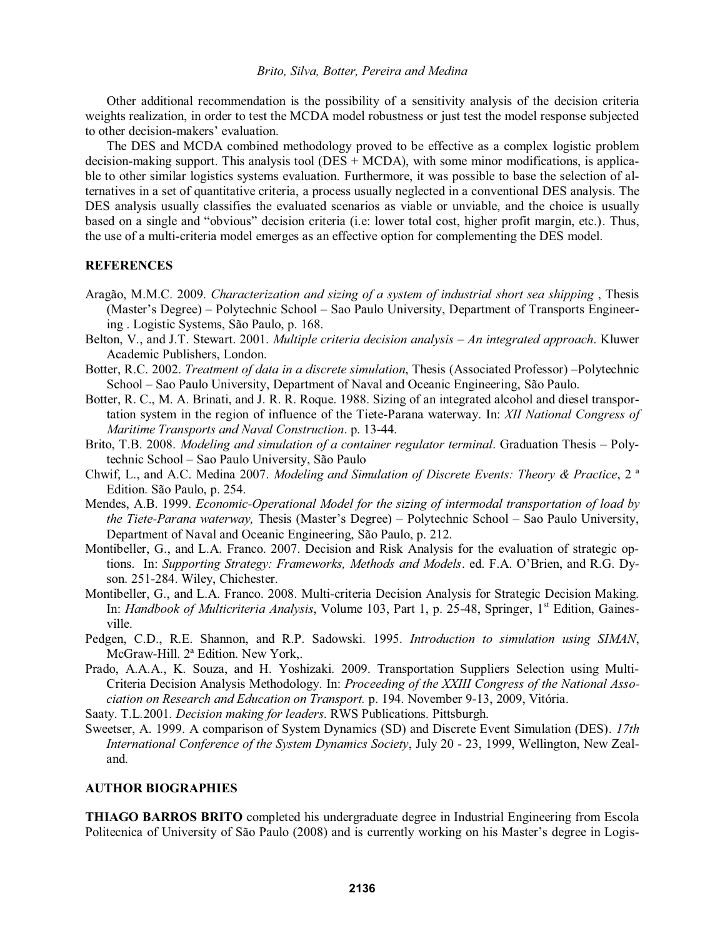Other additional recommendation is the possibility of a sensitivity analysis of the decision criteria weights realization, in order to test the MCDA model robustness or just test the model response subjected to other decision-makers' evaluation.

 The DES and MCDA combined methodology proved to be effective as a complex logistic problem decision-making support. This analysis tool ( $DES + MCDA$ ), with some minor modifications, is applicable to other similar logistics systems evaluation. Furthermore, it was possible to base the selection of alternatives in a set of quantitative criteria, a process usually neglected in a conventional DES analysis. The DES analysis usually classifies the evaluated scenarios as viable or unviable, and the choice is usually based on a single and "obvious" decision criteria (i.e: lower total cost, higher profit margin, etc.). Thus, the use of a multi-criteria model emerges as an effective option for complementing the DES model.

### **REFERENCES**

- Aragão, M.M.C. 2009. *Characterization and sizing of a system of industrial short sea shipping* , Thesis (Master's Degree) - Polytechnic School - Sao Paulo University, Department of Transports Engineering . Logistic Systems, São Paulo, p. 168.
- Belton, V., and J.T. Stewart. 2001. *Multiple criteria decision analysis - An integrated approach*. Kluwer Academic Publishers, London.
- Botter, R.C. 2002. *Treatment of data in a discrete simulation*, Thesis (Associated Professor) -Polytechnic School - Sao Paulo University, Department of Naval and Oceanic Engineering, São Paulo.
- Botter, R. C., M. A. Brinati, and J. R. R. Roque. 1988. Sizing of an integrated alcohol and diesel transportation system in the region of influence of the Tiete-Parana waterway. In: *XII National Congress of Maritime Transports and Naval Construction*. p. 13-44.
- Brito, T.B. 2008. Modeling and simulation of a container regulator terminal. Graduation Thesis Polytechnic School - Sao Paulo University, São Paulo
- Chwif, L., and A.C. Medina 2007. *Modeling and Simulation of Discrete Events: Theory & Practice*, 2 ª Edition. São Paulo, p. 254.
- Mendes, A.B. 1999. *Economic-Operational Model for the sizing of intermodal transportation of load by*  the Tiete-Parana waterway, Thesis (Master's Degree) - Polytechnic School - Sao Paulo University, Department of Naval and Oceanic Engineering, São Paulo, p. 212.
- Montibeller, G., and L.A. Franco. 2007. Decision and Risk Analysis for the evaluation of strategic options. In: Supporting Strategy: Frameworks, Methods and Models. ed. F.A. O'Brien, and R.G. Dyson. 251-284. Wiley, Chichester.
- Montibeller, G., and L.A. Franco. 2008. Multi-criteria Decision Analysis for Strategic Decision Making. In: *Handbook of Multicriteria Analysis*, Volume 103, Part 1, p. 25-48, Springer, 1<sup>st</sup> Edition, Gainesville.
- Pedgen, C.D., R.E. Shannon, and R.P. Sadowski. 1995. *Introduction to simulation using SIMAN*, McGraw-Hill. 2ª Edition. New York,.
- Prado, A.A.A., K. Souza, and H. Yoshizaki. 2009. Transportation Suppliers Selection using Multi-Criteria Decision Analysis Methodology*.* In: *Proceeding of the XXIII Congress of the National Association on Research and Education on Transport.* p. 194. November 9-13, 2009, Vitória.
- Saaty. T.L*.*2001*. Decision making for leaders*. RWS Publications. Pittsburgh.
- Sweetser, A. 1999. A comparison of System Dynamics (SD) and Discrete Event Simulation (DES). *17th International Conference of the System Dynamics Society*, July 20 - 23, 1999, Wellington, New Zealand.

### **AUTHOR BIOGRAPHIES**

**THIAGO BARROS BRITO** completed his undergraduate degree in Industrial Engineering from Escola Politecnica of University of São Paulo (2008) and is currently working on his Master's degree in Logis-